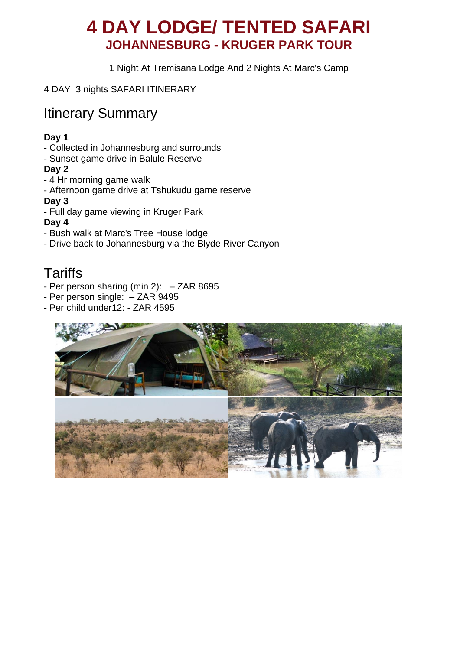# **4 DAY LODGE/ TENTED SAFARI JOHANNESBURG - KRUGER PARK TOUR**

1 Night At Tremisana Lodge And 2 Nights At Marc's Camp

4 DAY 3 nights SAFARI ITINERARY

## Itinerary Summary

#### **Day 1**

- Collected in Johannesburg and surrounds
- Sunset game drive in Balule Reserve

#### **Day 2**

- 4 Hr morning game walk
- Afternoon game drive at Tshukudu game reserve

#### **Day 3**

- Full day game viewing in Kruger Park

#### **Day 4**

- Bush walk at Marc's Tree House lodge
- Drive back to Johannesburg via the Blyde River Canyon

# **Tariffs**

- Per person sharing (min 2): ZAR 8695
- Per person single: ZAR 9495
- Per child under12: ZAR 4595

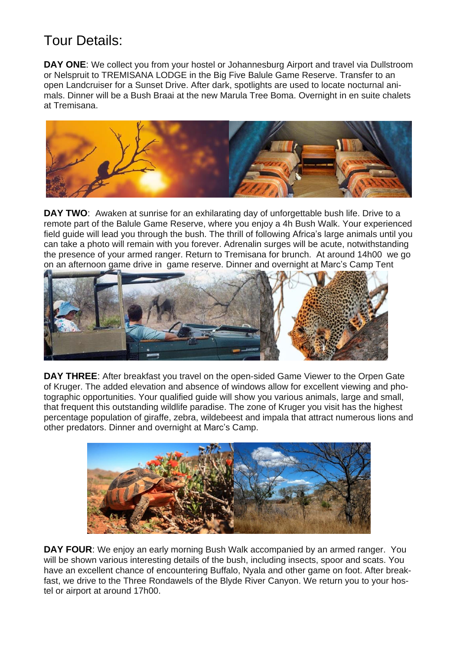# Tour Details:

**DAY ONE:** We collect you from your hostel or Johannesburg Airport and travel via Dullstroom or Nelspruit to TREMISANA LODGE in the Big Five Balule Game Reserve. Transfer to an open Landcruiser for a Sunset Drive. After dark, spotlights are used to locate nocturnal animals. Dinner will be a Bush Braai at the new Marula Tree Boma. Overnight in en suite chalets at Tremisana.



**DAY TWO:** Awaken at sunrise for an exhilarating day of unforgettable bush life. Drive to a remote part of the Balule Game Reserve, where you enjoy a 4h Bush Walk. Your experienced field guide will lead you through the bush. The thrill of following Africa's large animals until you can take a photo will remain with you forever. Adrenalin surges will be acute, notwithstanding the presence of your armed ranger. Return to Tremisana for brunch. At around 14h00 we go on an afternoon game drive in game reserve. Dinner and overnight at Marc's Camp Tent



**DAY THREE**: After breakfast you travel on the open-sided Game Viewer to the Orpen Gate of Kruger. The added elevation and absence of windows allow for excellent viewing and photographic opportunities. Your qualified guide will show you various animals, large and small, that frequent this outstanding wildlife paradise. The zone of Kruger you visit has the highest percentage population of giraffe, zebra, wildebeest and impala that attract numerous lions and other predators. Dinner and overnight at Marc's Camp.



**DAY FOUR**: We enjoy an early morning Bush Walk accompanied by an armed ranger. You will be shown various interesting details of the bush, including insects, spoor and scats. You have an excellent chance of encountering Buffalo, Nyala and other game on foot. After breakfast, we drive to the Three Rondawels of the Blyde River Canyon. We return you to your hostel or airport at around 17h00.